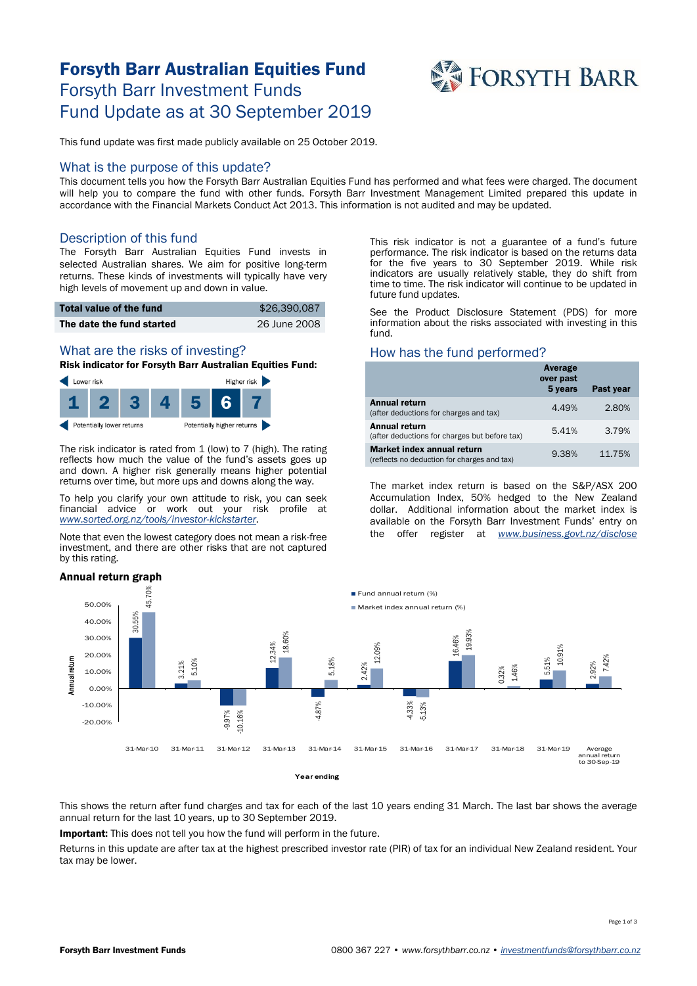# Forsyth Barr Australian Equities Fund Forsyth Barr Investment Funds Fund Update as at 30 September 2019



This fund update was first made publicly available on 25 October 2019.

#### What is the purpose of this update?

This document tells you how the Forsyth Barr Australian Equities Fund has performed and what fees were charged. The document will help you to compare the fund with other funds. Forsyth Barr Investment Management Limited prepared this update in accordance with the Financial Markets Conduct Act 2013. This information is not audited and may be updated.

### Description of this fund

The Forsyth Barr Australian Equities Fund invests in selected Australian shares. We aim for positive long-term returns. These kinds of investments will typically have very high levels of movement up and down in value.

| Total value of the fund   | \$26,390,087 |
|---------------------------|--------------|
| The date the fund started | 26 June 2008 |

## What are the risks of investing?

Risk indicator for Forsyth Barr Australian Equities Fund:



The risk indicator is rated from  $1$  (low) to 7 (high). The rating reflects how much the value of the fund's assets goes up and down. A higher risk generally means higher potential returns over time, but more ups and downs along the way.

To help you clarify your own attitude to risk, you can seek financial advice or work out your risk profile at *[www.sorted.org.nz/tools/investor-kickstarter](http://www.sorted.org.nz/tools/investor-kickstarter)*.

Note that even the lowest category does not mean a risk-free investment, and there are other risks that are not captured by this rating.

#### Annual return graph

This risk indicator is not a guarantee of a fund's future performance. The risk indicator is based on the returns data for the five years to 30 September 2019. While risk indicators are usually relatively stable, they do shift from time to time. The risk indicator will continue to be updated in future fund updates.

See the Product Disclosure Statement (PDS) for more information about the risks associated with investing in this fund.

### How has the fund performed?

|                                                                                  | Average<br>over past<br>5 years | Past year |
|----------------------------------------------------------------------------------|---------------------------------|-----------|
| <b>Annual return</b><br>(after deductions for charges and tax)                   | 4.49%                           | 2.80%     |
| Annual return<br>(after deductions for charges but before tax)                   | 5.41%                           | 3.79%     |
| <b>Market index annual return</b><br>(reflects no deduction for charges and tax) | 9.38%                           | 11.75%    |

The market index return is based on the S&P/ASX 200 Accumulation Index, 50% hedged to the New Zealand dollar. Additional information about the market index is available on the Forsyth Barr Investment Funds' entry on the offer register at *[www.business.govt.nz/disclose](http://www.business.govt.nz/disclose)*



This shows the return after fund charges and tax for each of the last 10 years ending 31 March. The last bar shows the average annual return for the last 10 years, up to 30 September 2019.

Important: This does not tell you how the fund will perform in the future.

Returns in this update are after tax at the highest prescribed investor rate (PIR) of tax for an individual New Zealand resident. Your tax may be lower.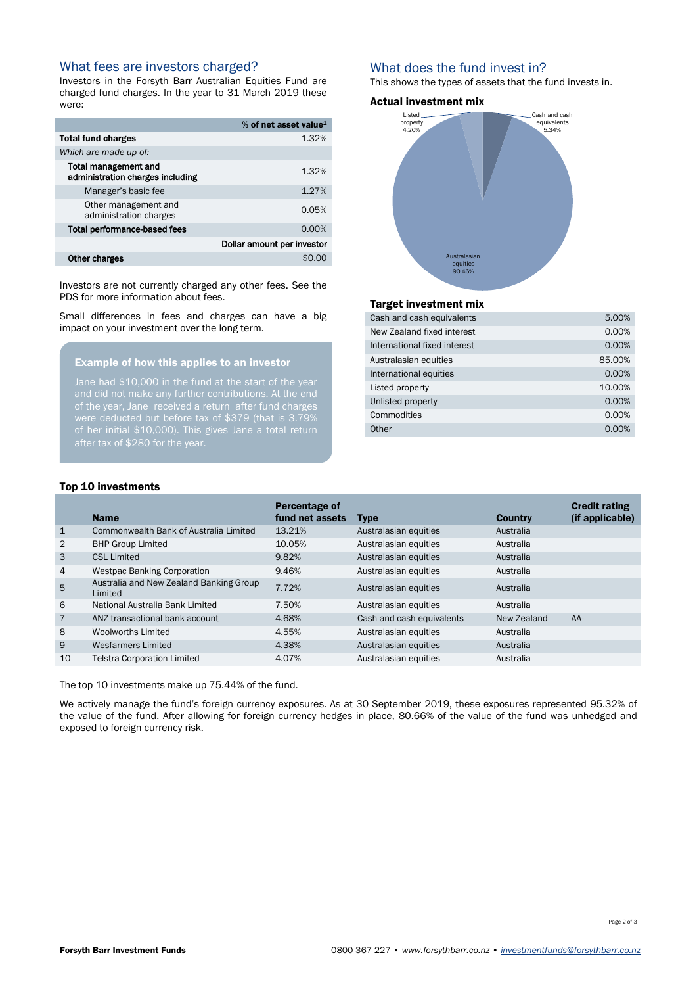### What fees are investors charged?

Investors in the Forsyth Barr Australian Equities Fund are charged fund charges. In the year to 31 March 2019 these were:

|                                                          | % of net asset value <sup>1</sup> |  |
|----------------------------------------------------------|-----------------------------------|--|
| <b>Total fund charges</b>                                | 1.32%                             |  |
| Which are made up of:                                    |                                   |  |
| Total management and<br>administration charges including | 1.32%                             |  |
| Manager's basic fee                                      | 1.27%                             |  |
| Other management and<br>administration charges           | 0.05%                             |  |
| <b>Total performance-based fees</b>                      | 0.00%                             |  |
|                                                          | Dollar amount per investor        |  |
| <b>Other charges</b>                                     |                                   |  |

Investors are not currently charged any other fees. See the PDS for more information about fees.

Small differences in fees and charges can have a big impact on your investment over the long term.

#### Example of how this applies to an investor

of the year, Jane received a return after fund charges were deducted but before tax of \$379 (that is 3.79% of her initial \$10,000). This gives Jane a total return after tax of \$280 for the year.

#### What does the fund invest in?

This shows the types of assets that the fund invests in.

#### Actual investment mix



## Target investment mix

| Cash and cash equivalents    | 5.00%    |
|------------------------------|----------|
| New Zealand fixed interest   | 0.00%    |
| International fixed interest | 0.00%    |
| Australasian equities        | 85.00%   |
| International equities       | 0.00%    |
| Listed property              | 10.00%   |
| Unlisted property            | 0.00%    |
| Commodities                  | 0.00%    |
| Other                        | $0.00\%$ |

#### Top 10 investments

| <b>Name</b>                                        | Percentage of<br>fund net assets | <b>Type</b>               | <b>Country</b> | <b>Credit rating</b><br>(if applicable) |
|----------------------------------------------------|----------------------------------|---------------------------|----------------|-----------------------------------------|
| Commonwealth Bank of Australia Limited             | 13.21%                           | Australasian equities     | Australia      |                                         |
| <b>BHP Group Limited</b>                           | 10.05%                           | Australasian equities     | Australia      |                                         |
| <b>CSL Limited</b>                                 | 9.82%                            | Australasian equities     | Australia      |                                         |
| <b>Westpac Banking Corporation</b>                 | 9.46%                            | Australasian equities     | Australia      |                                         |
| Australia and New Zealand Banking Group<br>Limited | 7.72%                            | Australasian equities     | Australia      |                                         |
| National Australia Bank Limited                    | 7.50%                            | Australasian equities     | Australia      |                                         |
| ANZ transactional bank account                     | 4.68%                            | Cash and cash equivalents | New Zealand    | $AA-$                                   |
| Woolworths Limited                                 | 4.55%                            | Australasian equities     | Australia      |                                         |
| Wesfarmers Limited                                 | 4.38%                            | Australasian equities     | Australia      |                                         |
| <b>Telstra Corporation Limited</b>                 | 4.07%                            | Australasian equities     | Australia      |                                         |
|                                                    |                                  |                           |                |                                         |

The top 10 investments make up 75.44% of the fund.

We actively manage the fund's foreign currency exposures. As at 30 September 2019, these exposures represented 95.32% of the value of the fund. After allowing for foreign currency hedges in place, 80.66% of the value of the fund was unhedged and exposed to foreign currency risk.